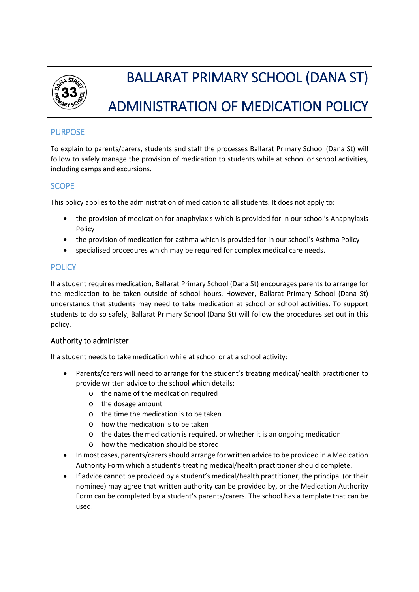

# BALLARAT PRIMARY SCHOOL (DANA ST) ADMINISTRATION OF MEDICATION POLICY

# PURPOSE

To explain to parents/carers, students and staff the processes Ballarat Primary School (Dana St) will follow to safely manage the provision of medication to students while at school or school activities, including camps and excursions.

# **SCOPE**

This policy applies to the administration of medication to all students. It does not apply to:

- the provision of medication for anaphylaxis which is provided for in our school's Anaphylaxis Policy
- the provision of medication for asthma which is provided for in our school's Asthma Policy
- specialised procedures which may be required for complex medical care needs.

# **POLICY**

If a student requires medication, Ballarat Primary School (Dana St) encourages parents to arrange for the medication to be taken outside of school hours. However, Ballarat Primary School (Dana St) understands that students may need to take medication at school or school activities. To support students to do so safely, Ballarat Primary School (Dana St) will follow the procedures set out in this policy.

# Authority to administer

If a student needs to take medication while at school or at a school activity:

- Parents/carers will need to arrange for the student's treating medical/health practitioner to provide written advice to the school which details:
	- o the name of the medication required
	- o the dosage amount
	- o the time the medication is to be taken
	- o how the medication is to be taken
	- o the dates the medication is required, or whether it is an ongoing medication
	- o how the medication should be stored.
- In most cases, parents/carers should arrange for written advice to be provided in a Medication Authority Form which a student's treating medical/health practitioner should complete.
- If advice cannot be provided by a student's medical/health practitioner, the principal (or their nominee) may agree that written authority can be provided by, or the Medication Authority Form can be completed by a student's parents/carers. The school has a template that can be used.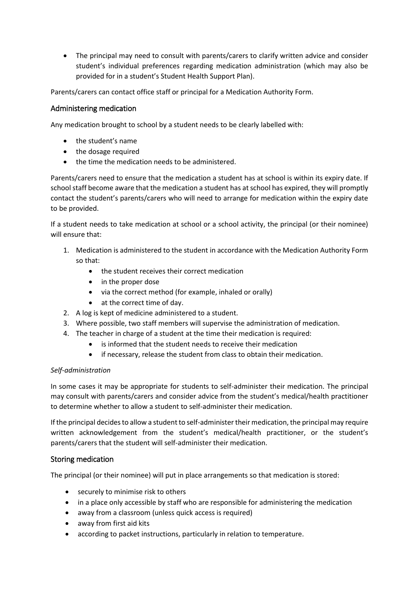The principal may need to consult with parents/carers to clarify written advice and consider student's individual preferences regarding medication administration (which may also be provided for in a student's Student Health Support Plan).

Parents/carers can contact office staff or principal for a Medication Authority Form.

## Administering medication

Any medication brought to school by a student needs to be clearly labelled with:

- the student's name
- the dosage required
- the time the medication needs to be administered.

Parents/carers need to ensure that the medication a student has at school is within its expiry date. If school staff become aware that the medication a student has at school has expired, they will promptly contact the student's parents/carers who will need to arrange for medication within the expiry date to be provided.

If a student needs to take medication at school or a school activity, the principal (or their nominee) will ensure that:

- 1. Medication is administered to the student in accordance with the Medication Authority Form so that:
	- the student receives their correct medication
	- in the proper dose
	- via the correct method (for example, inhaled or orally)
	- at the correct time of day.
- 2. A log is kept of medicine administered to a student.
- 3. Where possible, two staff members will supervise the administration of medication.
- 4. The teacher in charge of a student at the time their medication is required:
	- is informed that the student needs to receive their medication
	- if necessary, release the student from class to obtain their medication.

#### *Self-administration*

In some cases it may be appropriate for students to self-administer their medication. The principal may consult with parents/carers and consider advice from the student's medical/health practitioner to determine whether to allow a student to self-administer their medication.

If the principal decides to allow a student to self-administer their medication, the principal may require written acknowledgement from the student's medical/health practitioner, or the student's parents/carers that the student will self-administer their medication.

## Storing medication

The principal (or their nominee) will put in place arrangements so that medication is stored:

- securely to minimise risk to others
- in a place only accessible by staff who are responsible for administering the medication
- away from a classroom (unless quick access is required)
- away from first aid kits
- according to packet instructions, particularly in relation to temperature.